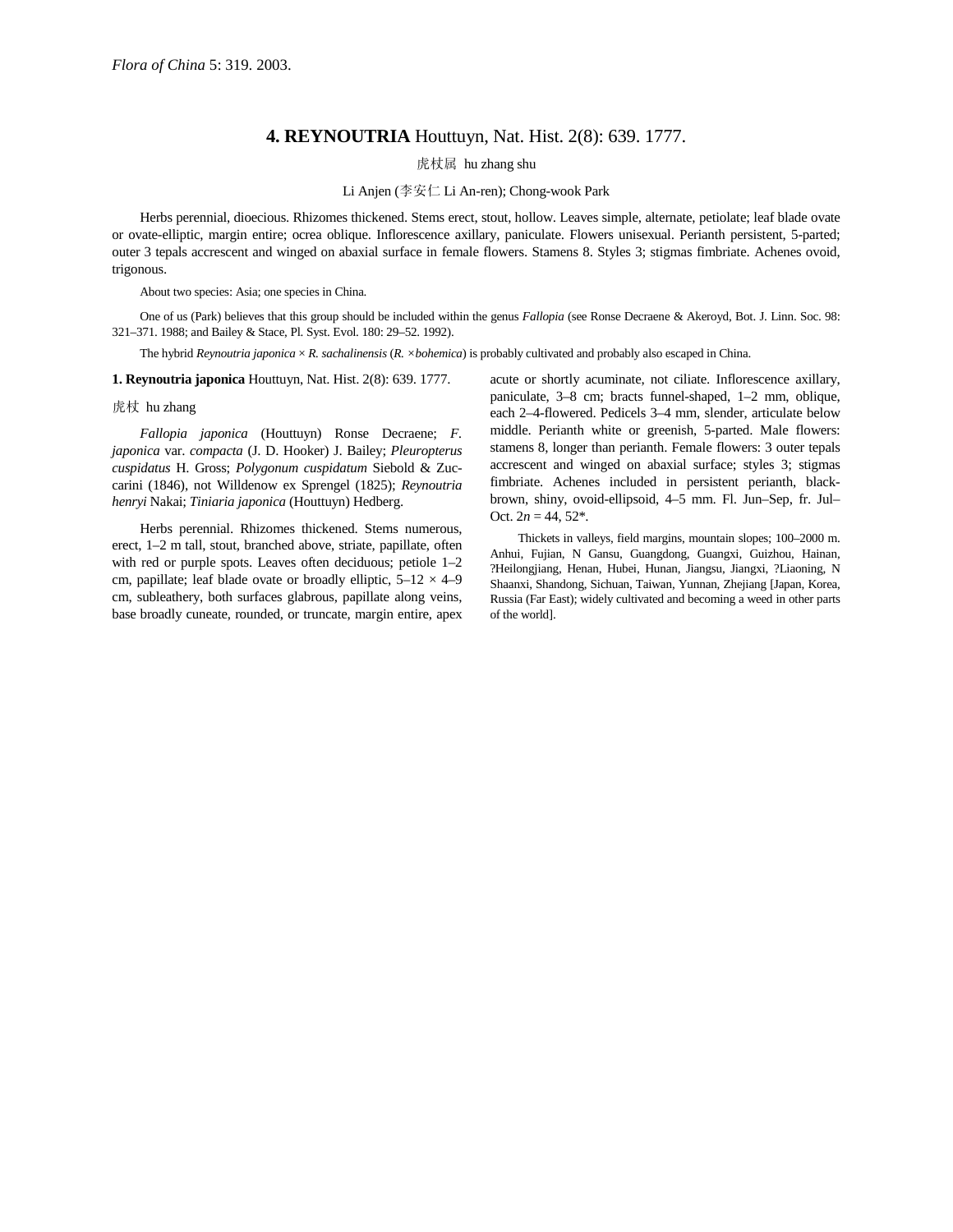## **4. REYNOUTRIA** Houttuyn, Nat. Hist. 2(8): 639. 1777.

虎杖属 hu zhang shu

Li Anjen (李安仁 Li An-ren); Chong-wook Park

Herbs perennial, dioecious. Rhizomes thickened. Stems erect, stout, hollow. Leaves simple, alternate, petiolate; leaf blade ovate or ovate-elliptic, margin entire; ocrea oblique. Inflorescence axillary, paniculate. Flowers unisexual. Perianth persistent, 5-parted; outer 3 tepals accrescent and winged on abaxial surface in female flowers. Stamens 8. Styles 3; stigmas fimbriate. Achenes ovoid, trigonous.

About two species: Asia; one species in China.

One of us (Park) believes that this group should be included within the genus *Fallopia* (see Ronse Decraene & Akeroyd, Bot. J. Linn. Soc. 98: 321–371. 1988; and Bailey & Stace, Pl. Syst. Evol. 180: 29–52. 1992).

The hybrid *Reynoutria japonica* × *R. sachalinensis* (*R. ×bohemica*) is probably cultivated and probably also escaped in China.

**1. Reynoutria japonica** Houttuyn, Nat. Hist. 2(8): 639. 1777.

## 虎杖 hu zhang

*Fallopia japonica* (Houttuyn) Ronse Decraene; *F. japonica* var. *compacta* (J. D. Hooker) J. Bailey; *Pleuropterus cuspidatus* H. Gross; *Polygonum cuspidatum* Siebold & Zuccarini (1846), not Willdenow ex Sprengel (1825); *Reynoutria henryi* Nakai; *Tiniaria japonica* (Houttuyn) Hedberg.

Herbs perennial. Rhizomes thickened. Stems numerous, erect, 1–2 m tall, stout, branched above, striate, papillate, often with red or purple spots. Leaves often deciduous; petiole 1–2 cm, papillate; leaf blade ovate or broadly elliptic,  $5-12 \times 4-9$ cm, subleathery, both surfaces glabrous, papillate along veins, base broadly cuneate, rounded, or truncate, margin entire, apex acute or shortly acuminate, not ciliate. Inflorescence axillary, paniculate, 3–8 cm; bracts funnel-shaped, 1–2 mm, oblique, each 2–4-flowered. Pedicels 3–4 mm, slender, articulate below middle. Perianth white or greenish, 5-parted. Male flowers: stamens 8, longer than perianth. Female flowers: 3 outer tepals accrescent and winged on abaxial surface; styles 3; stigmas fimbriate. Achenes included in persistent perianth, blackbrown, shiny, ovoid-ellipsoid, 4–5 mm. Fl. Jun–Sep, fr. Jul– Oct.  $2n = 44, 52^*$ .

Thickets in valleys, field margins, mountain slopes; 100–2000 m. Anhui, Fujian, N Gansu, Guangdong, Guangxi, Guizhou, Hainan, ?Heilongjiang, Henan, Hubei, Hunan, Jiangsu, Jiangxi, ?Liaoning, N Shaanxi, Shandong, Sichuan, Taiwan, Yunnan, Zhejiang [Japan, Korea, Russia (Far East); widely cultivated and becoming a weed in other parts of the world].